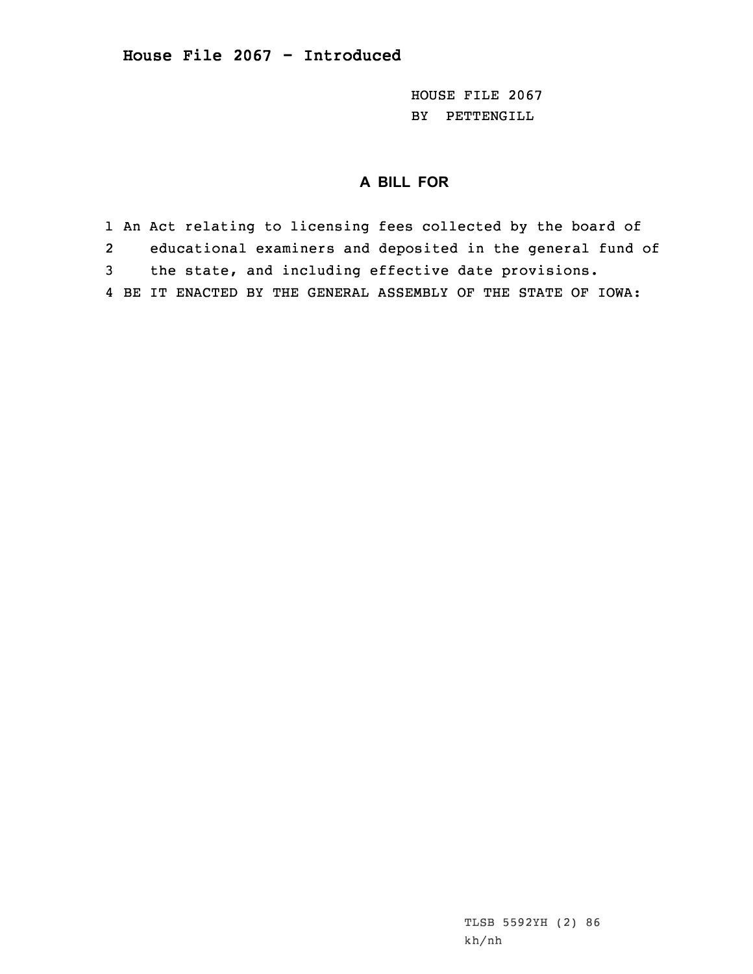HOUSE FILE 2067 BY PETTENGILL

## **A BILL FOR**

1 An Act relating to licensing fees collected by the board of 2 educational examiners and deposited in the general fund of 3 the state, and including effective date provisions. 4 BE IT ENACTED BY THE GENERAL ASSEMBLY OF THE STATE OF IOWA: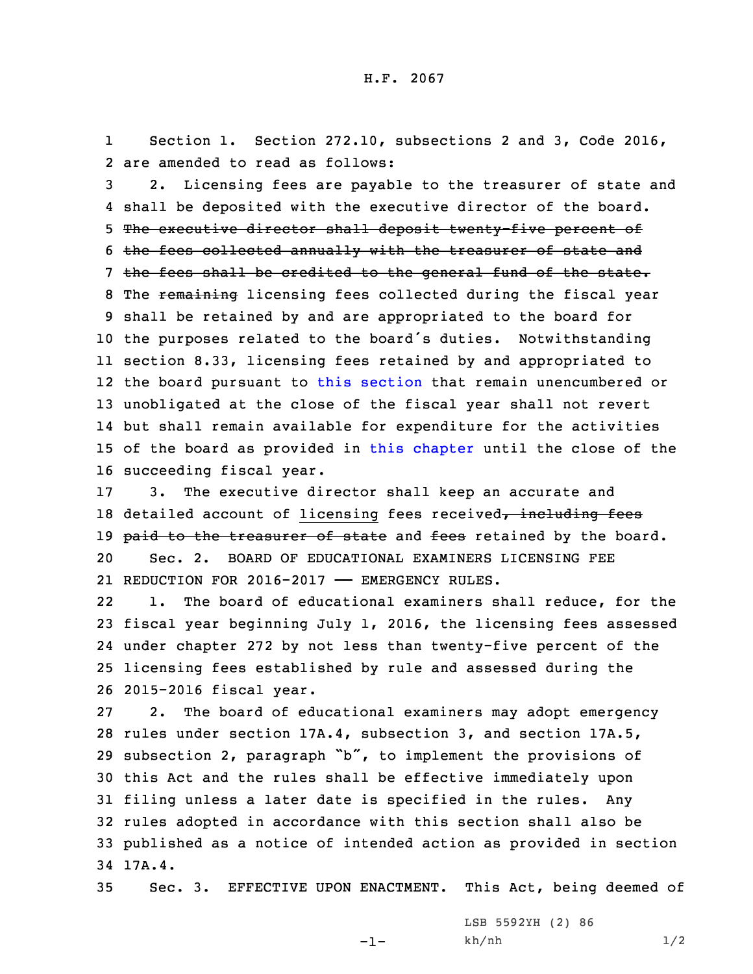1 Section 1. Section 272.10, subsections 2 and 3, Code 2016, 2 are amended to read as follows:

 2. Licensing fees are payable to the treasurer of state and shall be deposited with the executive director of the board. The executive director shall deposit twenty-five percent of the fees collected annually with the treasurer of state and 7 the fees shall be credited to the general fund of the state. 8 The remaining licensing fees collected during the fiscal year shall be retained by and are appropriated to the board for the purposes related to the board's duties. Notwithstanding section 8.33, licensing fees retained by and appropriated to the board pursuant to this [section](https://www.legis.iowa.gov/docs/code/2016/272.10.pdf) that remain unencumbered or unobligated at the close of the fiscal year shall not revert but shall remain available for expenditure for the activities of the board as provided in this [chapter](https://www.legis.iowa.gov/docs/code/2016/272.pdf) until the close of the succeeding fiscal year.

17 3. The executive director shall keep an accurate and 18 detailed account of licensing fees received, including fees 19 paid to the treasurer of state and fees retained by the board. 20 Sec. 2. BOARD OF EDUCATIONAL EXAMINERS LICENSING FEE 21 REDUCTION FOR 2016-2017 —— EMERGENCY RULES.

22 1. The board of educational examiners shall reduce, for the fiscal year beginning July 1, 2016, the licensing fees assessed under chapter 272 by not less than twenty-five percent of the licensing fees established by rule and assessed during the 2015-2016 fiscal year.

 2. The board of educational examiners may adopt emergency rules under section 17A.4, subsection 3, and section 17A.5, subsection 2, paragraph "b", to implement the provisions of this Act and the rules shall be effective immediately upon filing unless <sup>a</sup> later date is specified in the rules. Any rules adopted in accordance with this section shall also be published as <sup>a</sup> notice of intended action as provided in section 34 17A.4.

35 Sec. 3. EFFECTIVE UPON ENACTMENT. This Act, being deemed of

-1-

LSB 5592YH (2) 86 kh/nh 1/2